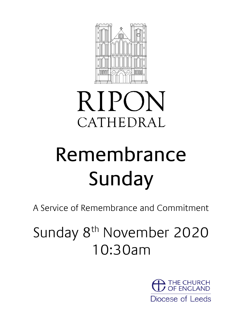

# **RIPON** CATHEDRAL

# Remembrance Sunday

A Service of Remembrance and Commitment

Sunday 8<sup>th</sup> November 2020 10:30am

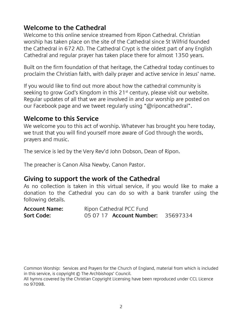#### **Welcome to the Cathedral**

Welcome to this online service streamed from Ripon Cathedral. Christian worship has taken place on the site of the Cathedral since St Wilfrid founded the Cathedral in 672 AD. The Cathedral Crypt is the oldest part of any English Cathedral and regular prayer has taken place there for almost 1350 years.

Built on the firm foundation of that heritage, the Cathedral today continues to proclaim the Christian faith, with daily prayer and active service in Jesus' name.

If you would like to find out more about how the cathedral community is seeking to grow God's Kingdom in this  $21<sup>st</sup>$  century, please visit our website. Regular updates of all that we are involved in and our worship are posted on our Facebook page and we tweet regularly using "@riponcathedral".

#### **Welcome to this Service**

We welcome you to this act of worship. Whatever has brought you here today, we trust that you will find yourself more aware of God through the words, prayers and music.

The service is led by the Very Rev'd John Dobson, Dean of Ripon.

The preacher is Canon Ailsa Newby, Canon Pastor.

#### **Giving to support the work of the Cathedral**

As no collection is taken in this virtual service, if you would like to make a donation to the Cathedral you can do so with a bank transfer using the following details.

| <b>Account Name:</b> | Ripon Cathedral PCC Fund        |          |
|----------------------|---------------------------------|----------|
| Sort Code:           | 05 07 17 <b>Account Number:</b> | 35697334 |

Common Worship: Services and Prayers for the Church of England, material from which is included in this service, is copyright © The Archbishops' Council.

All hymns covered by the Christian Copyright Licensing have been reproduced under CCL Licence no 97098.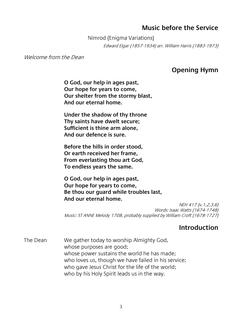#### **Music before the Service**

Nimrod (Enigma Variations) Edward Elgar (1857-1934) arr. William Harris (1883-1973)

Welcome from the Dean

#### **Opening Hymn**

**O God, our help in ages past, Our hope for years to come, Our shelter from the stormy blast, And our eternal home.**

**Under the shadow of thy throne Thy saints have dwelt secure; Sufficient is thine arm alone, And our defence is sure.**

**Before the hills in order stood, Or earth received her frame, From everlasting thou art God, To endless years the same.**

**O God, our help in ages past, Our hope for years to come, Be thou our guard while troubles last, And our eternal home.**

NEH 417 (v.1,2,3,6) Words: Isaac Watts (1674-1748) Music: ST ANNE Melody 1708, probably supplied by William Croft (1678-1727)

#### **Introduction**

The Dean We gather today to worship Almighty God, whose purposes are good; whose power sustains the world he has made; who loves us, though we have failed in his service; who gave Jesus Christ for the life of the world; who by his Holy Spirit leads us in the way.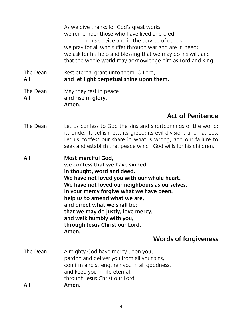|                 | As we give thanks for God's great works,<br>we remember those who have lived and died<br>in his service and in the service of others;<br>we pray for all who suffer through war and are in need;<br>we ask for his help and blessing that we may do his will, and<br>that the whole world may acknowledge him as Lord and King.                                                                                                               |
|-----------------|-----------------------------------------------------------------------------------------------------------------------------------------------------------------------------------------------------------------------------------------------------------------------------------------------------------------------------------------------------------------------------------------------------------------------------------------------|
| The Dean<br>All | Rest eternal grant unto them, O Lord,<br>and let light perpetual shine upon them.                                                                                                                                                                                                                                                                                                                                                             |
| The Dean<br>All | May they rest in peace<br>and rise in glory.<br>Amen.                                                                                                                                                                                                                                                                                                                                                                                         |
|                 | <b>Act of Penitence</b>                                                                                                                                                                                                                                                                                                                                                                                                                       |
| The Dean        | Let us confess to God the sins and shortcomings of the world;<br>its pride, its selfishness, its greed; its evil divisions and hatreds.<br>Let us confess our share in what is wrong, and our failure to<br>seek and establish that peace which God wills for his children.                                                                                                                                                                   |
| All             | Most merciful God,<br>we confess that we have sinned<br>in thought, word and deed.<br>We have not loved you with our whole heart.<br>We have not loved our neighbours as ourselves.<br>In your mercy forgive what we have been,<br>help us to amend what we are,<br>and direct what we shall be;<br>that we may do justly, love mercy,<br>and walk humbly with you,<br>through Jesus Christ our Lord.<br>Amen.<br><b>Words of forgiveness</b> |
|                 |                                                                                                                                                                                                                                                                                                                                                                                                                                               |
| The Dean<br>All | Almighty God have mercy upon you,<br>pardon and deliver you from all your sins,<br>confirm and strengthen you in all goodness,<br>and keep you in life eternal,<br>through Jesus Christ our Lord.<br>Amen.                                                                                                                                                                                                                                    |
|                 |                                                                                                                                                                                                                                                                                                                                                                                                                                               |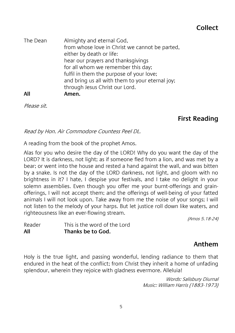| The Dean | Almighty and eternal God,<br>from whose love in Christ we cannot be parted,<br>either by death or life:<br>hear our prayers and thanksqivings<br>for all whom we remember this day;<br>fulfil in them the purpose of your love;<br>and bring us all with them to your eternal joy;<br>through Jesus Christ our Lord. |
|----------|----------------------------------------------------------------------------------------------------------------------------------------------------------------------------------------------------------------------------------------------------------------------------------------------------------------------|
| All      | Amen.                                                                                                                                                                                                                                                                                                                |

Please sit.

#### **First Reading**

Read by Hon. Air Commodore Countess Peel DL.

A reading from the book of the prophet Amos.

Alas for you who desire the day of the LORD! Why do you want the day of the LORD? It is darkness, not light; as if someone fled from a lion, and was met by a bear; or went into the house and rested a hand against the wall, and was bitten by a snake. Is not the day of the LORD darkness, not light, and gloom with no brightness in it? I hate, I despise your festivals, and I take no delight in your solemn assemblies. Even though you offer me your burnt-offerings and grainofferings, I will not accept them; and the offerings of well-being of your fatted animals I will not look upon. Take away from me the noise of your songs; I will not listen to the melody of your harps. But let justice roll down like waters, and righteousness like an ever-flowing stream.

(Amos 5.18-24)

| Reader | This is the word of the Lord |
|--------|------------------------------|
| All    | Thanks be to God.            |

#### **Anthem**

Holy is the true light, and passing wonderful, lending radiance to them that endured in the heat of the conflict; from Christ they inherit a home of unfading splendour, wherein they rejoice with gladness evermore. Alleluia!

> Words: Salisbury Diurnal Music: William Harris (1883-1973)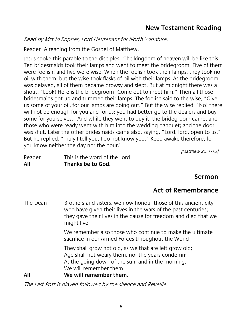Read by Mrs Jo Ropner, Lord Lieutenant for North Yorkshire.

Reader A reading from the Gospel of Matthew.

Jesus spoke this parable to the disciples: 'The kingdom of heaven will be like this. Ten bridesmaids took their lamps and went to meet the bridegroom. Five of them were foolish, and five were wise. When the foolish took their lamps, they took no oil with them; but the wise took flasks of oil with their lamps. As the bridegroom was delayed, all of them became drowsy and slept. But at midnight there was a shout, "Look! Here is the bridegroom! Come out to meet him." Then all those bridesmaids got up and trimmed their lamps. The foolish said to the wise, "Give us some of your oil, for our lamps are going out." But the wise replied, "No! there will not be enough for you and for us; you had better go to the dealers and buy some for yourselves." And while they went to buy it, the bridegroom came, and those who were ready went with him into the wedding banquet; and the door was shut. Later the other bridesmaids came also, saying, "Lord, lord, open to us." But he replied, "Truly I tell you, I do not know you." Keep awake therefore, for you know neither the day nor the hour.'

(Matthew 25.1-13)

| All    | Thanks be to God.            |
|--------|------------------------------|
| Reader | This is the word of the Lord |

# **Sermon**

# **Act of Remembrance**

The Dean Brothers and sisters, we now honour those of this ancient city who have given their lives in the wars of the past centuries; they gave their lives in the cause for freedom and died that we might live.

> We remember also those who continue to make the ultimate sacrifice in our Armed Forces throughout the World

They shall grow not old, as we that are left grow old; Age shall not weary them, nor the years condemn; At the going down of the sun, and in the morning, We will remember them

#### **All We will remember them.**

The Last Post is played followed by the silence and Reveille.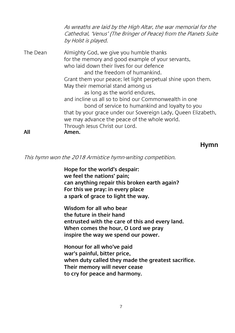As wreaths are laid by the High Altar, the war memorial for the Cathedral, 'Venus' (The Bringer of Peace) from the Planets Suite by Holst is played. The Dean Almighty God, we give you humble thanks for the memory and good example of your servants, who laid down their lives for our defence and the freedom of humankind. Grant them your peace; let light perpetual shine upon them. May their memorial stand among us as long as the world endures, and incline us all so to bind our Commonwealth in one bond of service to humankind and loyalty to you that by your grace under our Sovereign Lady, Queen Elizabeth, we may advance the peace of the whole world. Through Jesus Christ our Lord. **All Amen.**

#### **Hymn**

This hymn won the 2018 Armistice hymn-writing competition.

**Hope for the world's despair: we feel the nations' pain; can anything repair this broken earth again? For this we pray: in every place a spark of grace to light the way.**

**Wisdom for all who bear the future in their hand entrusted with the care of this and every land. When comes the hour, O Lord we pray inspire the way we spend our power.**

**Honour for all who've paid war's painful, bitter price, when duty called they made the greatest sacrifice. Their memory will never cease to cry for peace and harmony.**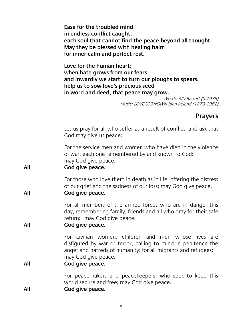|     | Ease for the troubled mind<br>in endless conflict caught,<br>each soul that cannot find the peace beyond all thought.<br>May they be blessed with healing balm<br>for inner calm and perfect rest.                                                                                    |
|-----|---------------------------------------------------------------------------------------------------------------------------------------------------------------------------------------------------------------------------------------------------------------------------------------|
|     | Love for the human heart:<br>when hate grows from our fears<br>and inwardly we start to turn our ploughs to spears.<br>help us to sow love's precious seed<br>in word and deed, that peace may grow.<br>Words: Ally Barrett (b. 1975)<br>Music: LOVE UNKNOWN John Ireland (1879-1962) |
|     | <b>Prayers</b>                                                                                                                                                                                                                                                                        |
|     | Let us pray for all who suffer as a result of conflict, and ask that<br>God may give us peace:                                                                                                                                                                                        |
| All | For the service men and women who have died in the violence<br>of war, each one remembered by and known to God;<br>may God give peace.<br>God give peace.                                                                                                                             |
| All | For those who love them in death as in life, offering the distress<br>of our grief and the sadness of our loss; may God give peace.<br>God give peace.                                                                                                                                |
| All | For all members of the armed forces who are in danger this<br>day, remembering family, friends and all who pray for their safe<br>return; may God give peace.<br>God give peace.                                                                                                      |
| All | For civilian women, children and men whose lives are<br>disfigured by war or terror, calling to mind in penitence the<br>anger and hatreds of humanity; for all migrants and refugees;<br>may God give peace.<br>God give peace.                                                      |
| All | For peacemakers and peacekeepers, who seek to keep this<br>world secure and free; may God give peace.<br>God give peace.                                                                                                                                                              |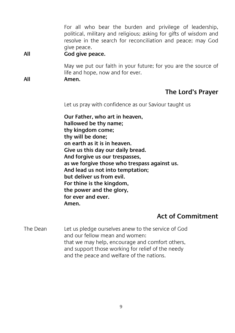For all who bear the burden and privilege of leadership, political, military and religious; asking for gifts of wisdom and resolve in the search for reconciliation and peace; may God give peace.

**All God give peace.**

May we put our faith in your future; for you are the source of life and hope, now and for ever.

**All Amen.**

### **The Lord's Prayer**

Let us pray with confidence as our Saviour taught us

**Our Father, who art in heaven, hallowed be thy name; thy kingdom come; thy will be done; on earth as it is in heaven. Give us this day our daily bread. And forgive us our trespasses, as we forgive those who trespass against us. And lead us not into temptation; but deliver us from evil. For thine is the kingdom, the power and the glory, for ever and ever. Amen.**

# **Act of Commitment**

The Dean Let us pledge ourselves anew to the service of God and our fellow mean and women: that we may help, encourage and comfort others, and support those working for relief of the needy and the peace and welfare of the nations.